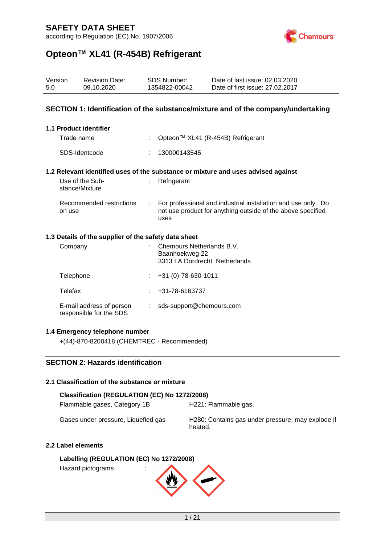according to Regulation (EC) No. 1907/2006



## **Opteon™ XL41 (R-454B) Refrigerant**

| Version<br>5.0 |                                                                                   | <b>Revision Date:</b><br>09.10.2020 |   | <b>SDS Number:</b><br>1354822-00042                                          | Date of last issue: 02.03.2020<br>Date of first issue: 27.02.2017                                                             |  |  |
|----------------|-----------------------------------------------------------------------------------|-------------------------------------|---|------------------------------------------------------------------------------|-------------------------------------------------------------------------------------------------------------------------------|--|--|
|                | SECTION 1: Identification of the substance/mixture and of the company/undertaking |                                     |   |                                                                              |                                                                                                                               |  |  |
|                |                                                                                   | 1.1 Product identifier              |   |                                                                              |                                                                                                                               |  |  |
|                | Trade name                                                                        |                                     | ÷ |                                                                              | Opteon™ XL41 (R-454B) Refrigerant                                                                                             |  |  |
|                |                                                                                   | SDS-Identcode                       |   | 130000143545                                                                 |                                                                                                                               |  |  |
|                |                                                                                   |                                     |   |                                                                              | 1.2 Relevant identified uses of the substance or mixture and uses advised against                                             |  |  |
|                |                                                                                   | Use of the Sub-<br>stance/Mixture   |   | Refrigerant                                                                  |                                                                                                                               |  |  |
|                | on use                                                                            | Recommended restrictions            |   | uses                                                                         | For professional and industrial installation and use only., Do<br>not use product for anything outside of the above specified |  |  |
|                | 1.3 Details of the supplier of the safety data sheet                              |                                     |   |                                                                              |                                                                                                                               |  |  |
|                | Company                                                                           |                                     |   | Chemours Netherlands B.V.<br>Baanhoekweg 22<br>3313 LA Dordrecht Netherlands |                                                                                                                               |  |  |
|                | Telephone                                                                         |                                     |   | $+31-(0)-78-630-1011$                                                        |                                                                                                                               |  |  |

Telefax : +31-78-6163737 E-mail address of person responsible for the SDS : sds-support@chemours.com

#### **1.4 Emergency telephone number**

+(44)-870-8200418 (CHEMTREC - Recommended)

### **SECTION 2: Hazards identification**

#### **2.1 Classification of the substance or mixture**

#### **Classification (REGULATION (EC) No 1272/2008)**

Flammable gases, Category 1B H221: Flammable gas.

Gases under pressure, Liquefied gas H280: Contains gas under pressure; may explode if heated.

#### **2.2 Label elements**

**Labelling (REGULATION (EC) No 1272/2008)** Hazard pictograms :

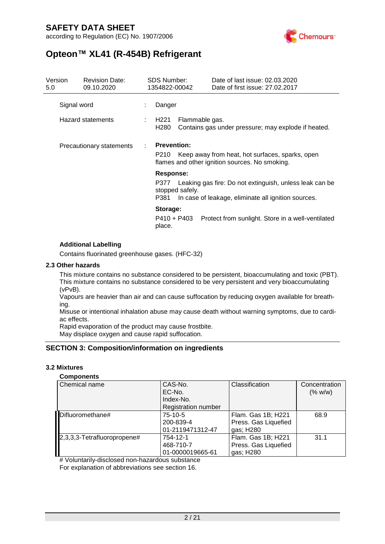according to Regulation (EC) No. 1907/2006



## **Opteon™ XL41 (R-454B) Refrigerant**

| Version<br>5.0           | <b>Revision Date:</b><br>09.10.2020 |                                      | <b>SDS Number:</b><br>1354822-00042                                                                                             | Date of last issue: 02.03.2020<br>Date of first issue: 27,02,2017                                              |  |
|--------------------------|-------------------------------------|--------------------------------------|---------------------------------------------------------------------------------------------------------------------------------|----------------------------------------------------------------------------------------------------------------|--|
| Signal word              |                                     |                                      | Danger                                                                                                                          |                                                                                                                |  |
|                          | <b>Hazard statements</b>            | H <sub>221</sub><br>H <sub>280</sub> |                                                                                                                                 | Flammable gas.<br>Contains gas under pressure; may explode if heated.                                          |  |
| Precautionary statements |                                     |                                      | <b>Prevention:</b><br>Keep away from heat, hot surfaces, sparks, open<br>P210<br>flames and other ignition sources. No smoking. |                                                                                                                |  |
|                          |                                     | P377<br>P381                         | <b>Response:</b><br>stopped safely.                                                                                             | Leaking gas fire: Do not extinguish, unless leak can be<br>In case of leakage, eliminate all ignition sources. |  |
|                          |                                     | place.                               | Storage:<br>P410 + P403                                                                                                         | Protect from sunlight. Store in a well-ventilated                                                              |  |

#### **Additional Labelling**

Contains fluorinated greenhouse gases. (HFC-32)

#### **2.3 Other hazards**

This mixture contains no substance considered to be persistent, bioaccumulating and toxic (PBT). This mixture contains no substance considered to be very persistent and very bioaccumulating (vPvB).

Vapours are heavier than air and can cause suffocation by reducing oxygen available for breathing.

Misuse or intentional inhalation abuse may cause death without warning symptoms, due to cardiac effects.

Rapid evaporation of the product may cause frostbite. May displace oxygen and cause rapid suffocation.

#### **SECTION 3: Composition/information on ingredients**

#### **3.2 Mixtures**

#### **Components**

| Chemical name               | CAS-No.<br>EC-No.<br>Index-No.<br><b>Registration number</b> | Classification       | Concentration<br>(% w/w) |
|-----------------------------|--------------------------------------------------------------|----------------------|--------------------------|
| Difluoromethane#            | 75-10-5                                                      | Flam. Gas 1B; H221   | 68.9                     |
|                             | 200-839-4                                                    | Press. Gas Liquefied |                          |
|                             | 01-2119471312-47                                             | gas; H280            |                          |
| 2,3,3,3-Tetrafluoropropene# | 754-12-1                                                     | Flam. Gas 1B; H221   | 31.1                     |
|                             | 468-710-7                                                    | Press. Gas Liquefied |                          |
|                             | 01-0000019665-61                                             | gas; H280            |                          |

# Voluntarily-disclosed non-hazardous substance For explanation of abbreviations see section 16.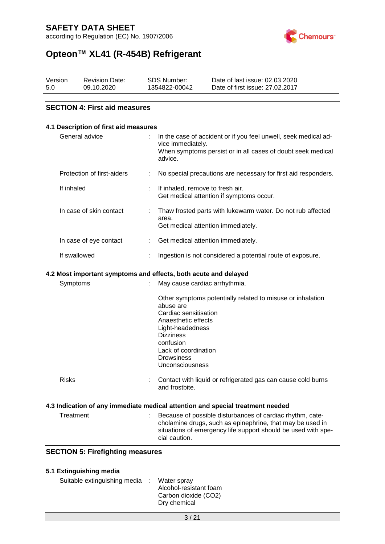according to Regulation (EC) No. 1907/2006



# **Opteon™ XL41 (R-454B) Refrigerant**

| Version | <b>Revision Date:</b> | SDS Number:   | Date of last issue: 02.03.2020  |
|---------|-----------------------|---------------|---------------------------------|
| 5.0     | 09.10.2020            | 1354822-00042 | Date of first issue: 27.02.2017 |

#### **SECTION 4: First aid measures**

| 4.1 Description of first aid measures                                                                                                                                                                                                               |
|-----------------------------------------------------------------------------------------------------------------------------------------------------------------------------------------------------------------------------------------------------|
| In the case of accident or if you feel unwell, seek medical ad-<br>vice immediately.<br>When symptoms persist or in all cases of doubt seek medical<br>advice.                                                                                      |
| No special precautions are necessary for first aid responders.<br>÷                                                                                                                                                                                 |
| If inhaled, remove to fresh air.<br>Get medical attention if symptoms occur.                                                                                                                                                                        |
| Thaw frosted parts with lukewarm water. Do not rub affected<br>area.<br>Get medical attention immediately.                                                                                                                                          |
| Get medical attention immediately.<br>÷                                                                                                                                                                                                             |
| Ingestion is not considered a potential route of exposure.                                                                                                                                                                                          |
| 4.2 Most important symptoms and effects, both acute and delayed                                                                                                                                                                                     |
| May cause cardiac arrhythmia.                                                                                                                                                                                                                       |
| Other symptoms potentially related to misuse or inhalation<br>abuse are<br>Cardiac sensitisation<br>Anaesthetic effects<br>Light-headedness<br><b>Dizziness</b><br>confusion<br>Lack of coordination<br><b>Drowsiness</b><br><b>Unconsciousness</b> |
| Contact with liquid or refrigerated gas can cause cold burns<br>and frostbite.                                                                                                                                                                      |
| 4.3 Indication of any immediate medical attention and special treatment needed                                                                                                                                                                      |
| Because of possible disturbances of cardiac rhythm, cate-<br>cholamine drugs, such as epinephrine, that may be used in<br>situations of emergency life support should be used with spe-                                                             |
|                                                                                                                                                                                                                                                     |

| 5.1 Extinguishing media      |                                                                               |
|------------------------------|-------------------------------------------------------------------------------|
| Suitable extinguishing media | Water spray<br>Alcohol-resistant foam<br>Carbon dioxide (CO2)<br>Dry chemical |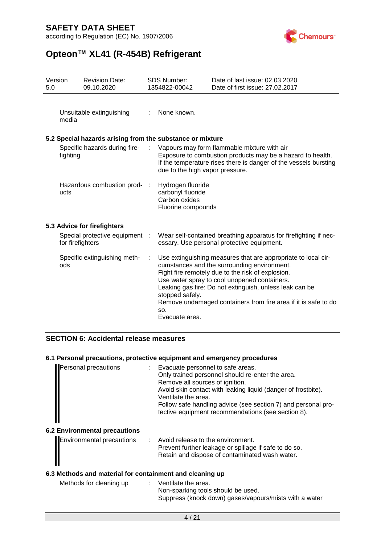according to Regulation (EC) No. 1907/2006



# **Opteon™ XL41 (R-454B) Refrigerant**

| Version<br>5.0                            |                  | <b>Revision Date:</b><br>09.10.2020                       |                                 | <b>SDS Number:</b><br>1354822-00042                                                                                                                                           | Date of last issue: 02.03.2020<br>Date of first issue: 27,02,2017                                                                                                                                                                                                                                                                              |
|-------------------------------------------|------------------|-----------------------------------------------------------|---------------------------------|-------------------------------------------------------------------------------------------------------------------------------------------------------------------------------|------------------------------------------------------------------------------------------------------------------------------------------------------------------------------------------------------------------------------------------------------------------------------------------------------------------------------------------------|
|                                           | media            | Unsuitable extinguishing                                  | $\mathbb{R}^{\mathbb{Z}}$       | None known.                                                                                                                                                                   |                                                                                                                                                                                                                                                                                                                                                |
|                                           |                  | 5.2 Special hazards arising from the substance or mixture |                                 |                                                                                                                                                                               |                                                                                                                                                                                                                                                                                                                                                |
| Specific hazards during fire-<br>fighting |                  | $\mathcal{L}$                                             | due to the high vapor pressure. | Vapours may form flammable mixture with air<br>Exposure to combustion products may be a hazard to health.<br>If the temperature rises there is danger of the vessels bursting |                                                                                                                                                                                                                                                                                                                                                |
|                                           | ucts             | Hazardous combustion prod-                                |                                 | Hydrogen fluoride<br>carbonyl fluoride<br>Carbon oxides<br>Fluorine compounds                                                                                                 |                                                                                                                                                                                                                                                                                                                                                |
|                                           |                  | 5.3 Advice for firefighters                               |                                 |                                                                                                                                                                               |                                                                                                                                                                                                                                                                                                                                                |
|                                           | for firefighters | Special protective equipment :                            |                                 |                                                                                                                                                                               | Wear self-contained breathing apparatus for firefighting if nec-<br>essary. Use personal protective equipment.                                                                                                                                                                                                                                 |
|                                           | ods              | Specific extinguishing meth-                              |                                 | stopped safely.<br>SO.<br>Evacuate area.                                                                                                                                      | Use extinguishing measures that are appropriate to local cir-<br>cumstances and the surrounding environment.<br>Fight fire remotely due to the risk of explosion.<br>Use water spray to cool unopened containers.<br>Leaking gas fire: Do not extinguish, unless leak can be<br>Remove undamaged containers from fire area if it is safe to do |

#### **SECTION 6: Accidental release measures**

#### **6.1 Personal precautions, protective equipment and emergency procedures**

| Personal precautions | Evacuate personnel to safe areas.                             |
|----------------------|---------------------------------------------------------------|
|                      | Only trained personnel should re-enter the area.              |
|                      | Remove all sources of ignition.                               |
|                      | Avoid skin contact with leaking liquid (danger of frostbite). |
|                      | Ventilate the area.                                           |
|                      | Follow safe handling advice (see section 7) and personal pro- |
|                      | tective equipment recommendations (see section 8).            |
|                      |                                                               |
|                      |                                                               |

### **6.2 Environmental precautions**

|                                                | Avoid release to the environment.                     |
|------------------------------------------------|-------------------------------------------------------|
|                                                | Prevent further leakage or spillage if safe to do so. |
| Environmental precautions<br>Final precautions | Retain and dispose of contaminated wash water.        |
|                                                |                                                       |

#### **6.3 Methods and material for containment and cleaning up**

| Methods for cleaning up | : Ventilate the area.                                  |
|-------------------------|--------------------------------------------------------|
|                         | Non-sparking tools should be used.                     |
|                         | Suppress (knock down) gases/vapours/mists with a water |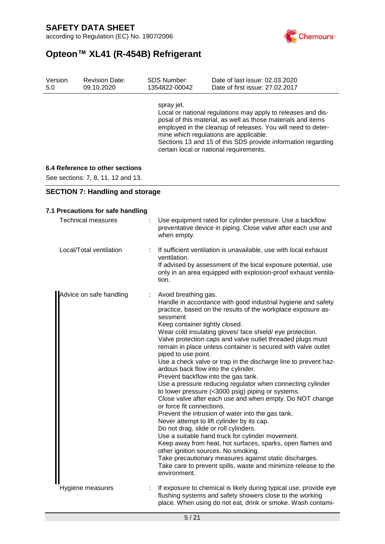according to Regulation (EC) No. 1907/2006



## **Opteon™ XL41 (R-454B) Refrigerant**

| Version | <b>Revision Date:</b> | <b>SDS Number:</b> | Date of last issue: 02.03.2020                                                                                                                                                                                                                                                                                                                    |
|---------|-----------------------|--------------------|---------------------------------------------------------------------------------------------------------------------------------------------------------------------------------------------------------------------------------------------------------------------------------------------------------------------------------------------------|
| 5.0     | 09.10.2020            | 1354822-00042      | Date of first issue: 27,02,2017                                                                                                                                                                                                                                                                                                                   |
|         |                       | spray jet.         | Local or national regulations may apply to releases and dis-<br>posal of this material, as well as those materials and items<br>employed in the cleanup of releases. You will need to deter-<br>mine which regulations are applicable.<br>Sections 13 and 15 of this SDS provide information regarding<br>certain local or national requirements. |

#### **6.4 Reference to other sections**

See sections: 7, 8, 11, 12 and 13.

**SECTION 7: Handling and storage**

| 7.1 Precautions for safe handling |   |                                                                                                                                                                                                                                                                                                                                                                                                                                                                                                                                                                                                                                                                                                                                                                                                                                                                                                                                                                                                                                                                                                                                                                                                                                     |  |  |
|-----------------------------------|---|-------------------------------------------------------------------------------------------------------------------------------------------------------------------------------------------------------------------------------------------------------------------------------------------------------------------------------------------------------------------------------------------------------------------------------------------------------------------------------------------------------------------------------------------------------------------------------------------------------------------------------------------------------------------------------------------------------------------------------------------------------------------------------------------------------------------------------------------------------------------------------------------------------------------------------------------------------------------------------------------------------------------------------------------------------------------------------------------------------------------------------------------------------------------------------------------------------------------------------------|--|--|
| <b>Technical measures</b>         |   | Use equipment rated for cylinder pressure. Use a backflow<br>preventative device in piping. Close valve after each use and<br>when empty.                                                                                                                                                                                                                                                                                                                                                                                                                                                                                                                                                                                                                                                                                                                                                                                                                                                                                                                                                                                                                                                                                           |  |  |
| Local/Total ventilation           | ÷ | If sufficient ventilation is unavailable, use with local exhaust<br>ventilation.<br>If advised by assessment of the local exposure potential, use<br>only in an area equipped with explosion-proof exhaust ventila-<br>tion.                                                                                                                                                                                                                                                                                                                                                                                                                                                                                                                                                                                                                                                                                                                                                                                                                                                                                                                                                                                                        |  |  |
| Advice on safe handling           | ÷ | Avoid breathing gas.<br>Handle in accordance with good industrial hygiene and safety<br>practice, based on the results of the workplace exposure as-<br>sessment<br>Keep container tightly closed.<br>Wear cold insulating gloves/ face shield/ eye protection.<br>Valve protection caps and valve outlet threaded plugs must<br>remain in place unless container is secured with valve outlet<br>piped to use point.<br>Use a check valve or trap in the discharge line to prevent haz-<br>ardous back flow into the cylinder.<br>Prevent backflow into the gas tank.<br>Use a pressure reducing regulator when connecting cylinder<br>to lower pressure (<3000 psig) piping or systems.<br>Close valve after each use and when empty. Do NOT change<br>or force fit connections.<br>Prevent the intrusion of water into the gas tank.<br>Never attempt to lift cylinder by its cap.<br>Do not drag, slide or roll cylinders.<br>Use a suitable hand truck for cylinder movement.<br>Keep away from heat, hot surfaces, sparks, open flames and<br>other ignition sources. No smoking.<br>Take precautionary measures against static discharges.<br>Take care to prevent spills, waste and minimize release to the<br>environment. |  |  |
| Hygiene measures                  |   | If exposure to chemical is likely during typical use, provide eye<br>flushing systems and safety showers close to the working<br>place. When using do not eat, drink or smoke. Wash contami-                                                                                                                                                                                                                                                                                                                                                                                                                                                                                                                                                                                                                                                                                                                                                                                                                                                                                                                                                                                                                                        |  |  |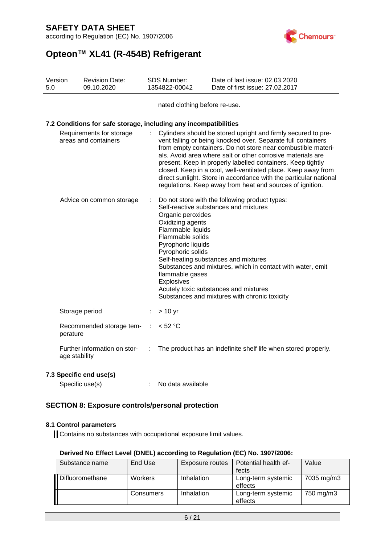according to Regulation (EC) No. 1907/2006



# **Opteon™ XL41 (R-454B) Refrigerant**

| Version<br>5.0                                   |               | <b>Revision Date:</b><br>09.10.2020                              |                                                                                                                                                                                                                                                                                                                                                                                                                                                                                                                                | SDS Number:<br>1354822-00042                                                                                                                               | Date of last issue: 02.03.2020<br>Date of first issue: 27.02.2017                                                                                                                                                                                                                       |  |  |
|--------------------------------------------------|---------------|------------------------------------------------------------------|--------------------------------------------------------------------------------------------------------------------------------------------------------------------------------------------------------------------------------------------------------------------------------------------------------------------------------------------------------------------------------------------------------------------------------------------------------------------------------------------------------------------------------|------------------------------------------------------------------------------------------------------------------------------------------------------------|-----------------------------------------------------------------------------------------------------------------------------------------------------------------------------------------------------------------------------------------------------------------------------------------|--|--|
|                                                  |               |                                                                  |                                                                                                                                                                                                                                                                                                                                                                                                                                                                                                                                | nated clothing before re-use.                                                                                                                              |                                                                                                                                                                                                                                                                                         |  |  |
|                                                  |               | 7.2 Conditions for safe storage, including any incompatibilities |                                                                                                                                                                                                                                                                                                                                                                                                                                                                                                                                |                                                                                                                                                            |                                                                                                                                                                                                                                                                                         |  |  |
| Requirements for storage<br>areas and containers |               |                                                                  | Cylinders should be stored upright and firmly secured to pre-<br>vent falling or being knocked over. Separate full containers<br>from empty containers. Do not store near combustible materi-<br>als. Avoid area where salt or other corrosive materials are<br>present. Keep in properly labelled containers. Keep tightly<br>closed. Keep in a cool, well-ventilated place. Keep away from<br>direct sunlight. Store in accordance with the particular national<br>regulations. Keep away from heat and sources of ignition. |                                                                                                                                                            |                                                                                                                                                                                                                                                                                         |  |  |
| Advice on common storage                         |               |                                                                  |                                                                                                                                                                                                                                                                                                                                                                                                                                                                                                                                | Organic peroxides<br>Oxidizing agents<br>Flammable liquids<br>Flammable solids<br>Pyrophoric liquids<br>Pyrophoric solids<br>flammable gases<br>Explosives | Do not store with the following product types:<br>Self-reactive substances and mixtures<br>Self-heating substances and mixtures<br>Substances and mixtures, which in contact with water, emit<br>Acutely toxic substances and mixtures<br>Substances and mixtures with chronic toxicity |  |  |
|                                                  |               | Storage period                                                   | ÷                                                                                                                                                                                                                                                                                                                                                                                                                                                                                                                              | $> 10$ yr                                                                                                                                                  |                                                                                                                                                                                                                                                                                         |  |  |
|                                                  | perature      | Recommended storage tem-                                         | $\mathbb{R}^2$                                                                                                                                                                                                                                                                                                                                                                                                                                                                                                                 | < 52 °C                                                                                                                                                    |                                                                                                                                                                                                                                                                                         |  |  |
|                                                  | age stability | Further information on stor-                                     | ÷                                                                                                                                                                                                                                                                                                                                                                                                                                                                                                                              |                                                                                                                                                            | The product has an indefinite shelf life when stored properly.                                                                                                                                                                                                                          |  |  |
|                                                  |               | 7.3 Specific end use(s)                                          |                                                                                                                                                                                                                                                                                                                                                                                                                                                                                                                                |                                                                                                                                                            |                                                                                                                                                                                                                                                                                         |  |  |
|                                                  |               | Specific use(s)                                                  |                                                                                                                                                                                                                                                                                                                                                                                                                                                                                                                                | No data available                                                                                                                                          |                                                                                                                                                                                                                                                                                         |  |  |

#### **SECTION 8: Exposure controls/personal protection**

#### **8.1 Control parameters**

Contains no substances with occupational exposure limit values.

| Derived No Effect Level (DNEL) according to Regulation (EC) No. 1907/2006: |  |  |  |  |
|----------------------------------------------------------------------------|--|--|--|--|
|----------------------------------------------------------------------------|--|--|--|--|

| Substance name  | End Use        | <b>Exposure routes</b> | Potential health ef-<br>fects | Value      |
|-----------------|----------------|------------------------|-------------------------------|------------|
| Difluoromethane | <b>Workers</b> | Inhalation             | Long-term systemic<br>effects | 7035 mg/m3 |
|                 | Consumers      | Inhalation             | Long-term systemic<br>effects | 750 mg/m3  |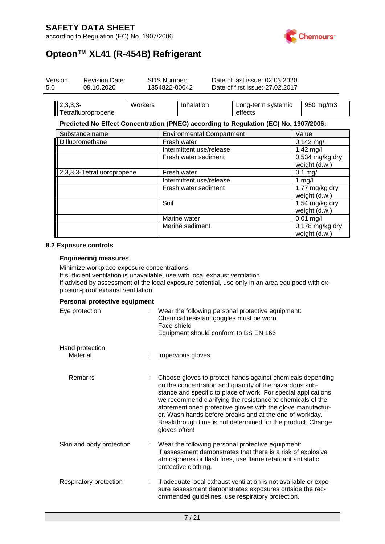according to Regulation (EC) No. 1907/2006



# **Opteon™ XL41 (R-454B) Refrigerant**

| Version<br>5.0 | <b>Revision Date:</b><br>09.10.2020 |         | <b>SDS Number:</b><br>1354822-00042 |                                  | Date of last issue: 02.03.2020<br>Date of first issue: 27,02,2017 |                                                                                      |                                    |                                 |
|----------------|-------------------------------------|---------|-------------------------------------|----------------------------------|-------------------------------------------------------------------|--------------------------------------------------------------------------------------|------------------------------------|---------------------------------|
|                | 2,3,3,3-<br>Tetrafluoropropene      | Workers |                                     | Inhalation                       |                                                                   | Long-term systemic<br>effects                                                        | 950 mg/m3                          |                                 |
|                |                                     |         |                                     |                                  |                                                                   | Predicted No Effect Concentration (PNEC) according to Regulation (EC) No. 1907/2006: |                                    |                                 |
|                | Substance name                      |         |                                     | <b>Environmental Compartment</b> |                                                                   |                                                                                      | Value                              |                                 |
|                | Difluoromethane                     |         |                                     | Fresh water                      | $0.142$ mg/l                                                      |                                                                                      |                                    |                                 |
|                |                                     |         |                                     | Intermittent use/release         |                                                                   |                                                                                      | $1.42$ mg/l                        |                                 |
|                |                                     |         | Fresh water sediment                | 0.534 mg/kg dry<br>weight (d.w.) |                                                                   |                                                                                      |                                    |                                 |
|                | 2,3,3,3-Tetrafluoropropene          |         | Fresh water                         |                                  |                                                                   | $0.1$ mg/l                                                                           |                                    |                                 |
|                |                                     |         |                                     | Intermittent use/release         |                                                                   |                                                                                      | 1 mg/l                             |                                 |
|                |                                     |         |                                     | Fresh water sediment             | 1.77 mg/kg dry<br>weight (d.w.)                                   |                                                                                      |                                    |                                 |
|                |                                     |         |                                     | Soil                             |                                                                   |                                                                                      |                                    | 1.54 mg/kg dry<br>weight (d.w.) |
|                |                                     |         |                                     | Marine water                     |                                                                   |                                                                                      | $0.01$ mg/l                        |                                 |
|                |                                     |         |                                     | Marine sediment                  |                                                                   |                                                                                      | $0.178$ mg/kg dry<br>weight (d.w.) |                                 |

#### **8.2 Exposure controls**

#### **Engineering measures**

Minimize workplace exposure concentrations.

If sufficient ventilation is unavailable, use with local exhaust ventilation. If advised by assessment of the local exposure potential, use only in an area equipped with explosion-proof exhaust ventilation.

#### **Personal protective equipment**

| Eye protection              |   | Wear the following personal protective equipment:<br>Chemical resistant goggles must be worn.<br>Face-shield<br>Equipment should conform to BS EN 166                                                                                                                                                                                                                                                                                                            |
|-----------------------------|---|------------------------------------------------------------------------------------------------------------------------------------------------------------------------------------------------------------------------------------------------------------------------------------------------------------------------------------------------------------------------------------------------------------------------------------------------------------------|
| Hand protection<br>Material |   | Impervious gloves                                                                                                                                                                                                                                                                                                                                                                                                                                                |
| <b>Remarks</b>              |   | Choose gloves to protect hands against chemicals depending<br>on the concentration and quantity of the hazardous sub-<br>stance and specific to place of work. For special applications,<br>we recommend clarifying the resistance to chemicals of the<br>aforementioned protective gloves with the glove manufactur-<br>er. Wash hands before breaks and at the end of workday.<br>Breakthrough time is not determined for the product. Change<br>gloves often! |
| Skin and body protection    |   | Wear the following personal protective equipment:<br>If assessment demonstrates that there is a risk of explosive<br>atmospheres or flash fires, use flame retardant antistatic<br>protective clothing.                                                                                                                                                                                                                                                          |
| Respiratory protection      | ÷ | If adequate local exhaust ventilation is not available or expo-<br>sure assessment demonstrates exposures outside the rec-<br>ommended guidelines, use respiratory protection.                                                                                                                                                                                                                                                                                   |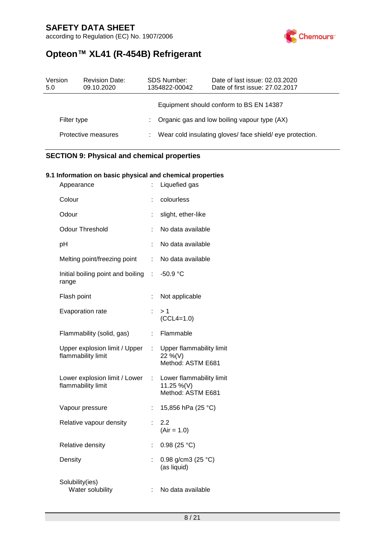according to Regulation (EC) No. 1907/2006



## **Opteon™ XL41 (R-454B) Refrigerant**

| Date of last issue: 02.03.2020<br>Date of first issue: 27,02,2017 |  |
|-------------------------------------------------------------------|--|
|                                                                   |  |
|                                                                   |  |
| Wear cold insulating gloves/ face shield/ eye protection.         |  |
|                                                                   |  |

### **SECTION 9: Physical and chemical properties**

#### **9.1 Information on basic physical and chemical properties**

| Appearance                                          | ÷.                    | Liquefied gas                                               |
|-----------------------------------------------------|-----------------------|-------------------------------------------------------------|
| Colour                                              |                       | colourless                                                  |
| Odour                                               | Ì.                    | slight, ether-like                                          |
| <b>Odour Threshold</b>                              |                       | No data available                                           |
| pH                                                  |                       | No data available                                           |
| Melting point/freezing point                        | t.                    | No data available                                           |
| Initial boiling point and boiling<br>range          | t.                    | $-50.9 °C$                                                  |
| Flash point                                         | t,                    | Not applicable                                              |
| Evaporation rate                                    | t,                    | > 1<br>$(CCL4=1.0)$                                         |
| Flammability (solid, gas)                           | t.                    | Flammable                                                   |
| Upper explosion limit / Upper<br>flammability limit |                       | : Upper flammability limit<br>22 %(V)<br>Method: ASTM E681  |
| Lower explosion limit / Lower<br>flammability limit | $\mathbb{Z}^{\times}$ | Lower flammability limit<br>11.25 %(V)<br>Method: ASTM E681 |
| Vapour pressure                                     | t,                    | 15,856 hPa (25 °C)                                          |
| Relative vapour density                             | t.                    | 2.2<br>$(Air = 1.0)$                                        |
| Relative density                                    | t,                    | 0.98(25 °C)                                                 |
| Density                                             | t.                    | 0.98 g/cm3 (25 °C)<br>(as liquid)                           |
| Solubility(ies)<br>Water solubility                 | ÷.                    | No data available                                           |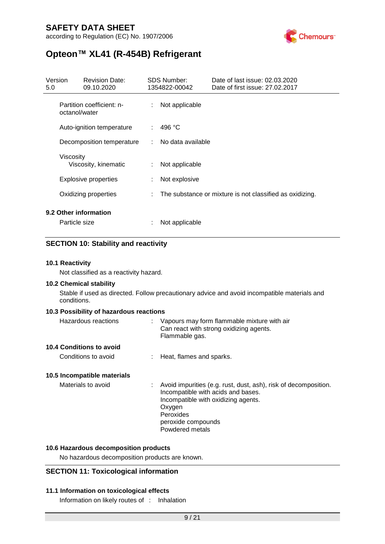according to Regulation (EC) No. 1907/2006



## **Opteon™ XL41 (R-454B) Refrigerant**

| Version<br>5.0            | <b>Revision Date:</b><br>09.10.2020        |    | <b>SDS Number:</b><br>1354822-00042 | Date of last issue: 02.03.2020<br>Date of first issue: 27.02.2017 |
|---------------------------|--------------------------------------------|----|-------------------------------------|-------------------------------------------------------------------|
|                           | Partition coefficient: n-<br>octanol/water | ÷  | Not applicable                      |                                                                   |
| Auto-ignition temperature |                                            | ÷. | 496 °C                              |                                                                   |
|                           | Decomposition temperature                  |    | No data available                   |                                                                   |
|                           | Viscosity<br>Viscosity, kinematic          | t. | Not applicable                      |                                                                   |
|                           | <b>Explosive properties</b>                | ÷  | Not explosive                       |                                                                   |
|                           | Oxidizing properties                       | ÷  |                                     | The substance or mixture is not classified as oxidizing.          |
|                           | 9.2 Other information<br>Particle size     | t  | Not applicable                      |                                                                   |

#### **SECTION 10: Stability and reactivity**

#### **10.1 Reactivity**

Not classified as a reactivity hazard.

#### **10.2 Chemical stability**

Stable if used as directed. Follow precautionary advice and avoid incompatible materials and conditions.

#### **10.3 Possibility of hazardous reactions**

| Hazardous reactions             | Vapours may form flammable mixture with air<br>Can react with strong oxidizing agents.<br>Flammable gas.                                                                                                       |
|---------------------------------|----------------------------------------------------------------------------------------------------------------------------------------------------------------------------------------------------------------|
| <b>10.4 Conditions to avoid</b> |                                                                                                                                                                                                                |
| Conditions to avoid             | : Heat, flames and sparks.                                                                                                                                                                                     |
| 10.5 Incompatible materials     |                                                                                                                                                                                                                |
| Materials to avoid              | : Avoid impurities (e.g. rust, dust, ash), risk of decomposition.<br>Incompatible with acids and bases.<br>Incompatible with oxidizing agents.<br>Oxygen<br>Peroxides<br>peroxide compounds<br>Powdered metals |

#### **10.6 Hazardous decomposition products**

No hazardous decomposition products are known.

#### **SECTION 11: Toxicological information**

#### **11.1 Information on toxicological effects**

Information on likely routes of : Inhalation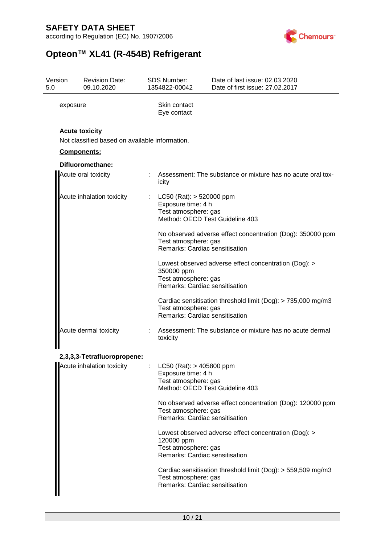according to Regulation (EC) No. 1907/2006



# **Opteon™ XL41 (R-454B) Refrigerant**

| Version<br>5.0 | <b>Revision Date:</b><br>09.10.2020                                     |  | SDS Number:<br>1354822-00042                                                                                                  | Date of last issue: 02.03.2020<br>Date of first issue: 27.02.2017 |  |  |  |
|----------------|-------------------------------------------------------------------------|--|-------------------------------------------------------------------------------------------------------------------------------|-------------------------------------------------------------------|--|--|--|
| exposure       |                                                                         |  | Skin contact<br>Eye contact                                                                                                   |                                                                   |  |  |  |
|                | <b>Acute toxicity</b><br>Not classified based on available information. |  |                                                                                                                               |                                                                   |  |  |  |
|                | <b>Components:</b>                                                      |  |                                                                                                                               |                                                                   |  |  |  |
|                | Difluoromethane:                                                        |  |                                                                                                                               |                                                                   |  |  |  |
|                | Acute oral toxicity                                                     |  | icity                                                                                                                         | Assessment: The substance or mixture has no acute oral tox-       |  |  |  |
|                | Acute inhalation toxicity                                               |  | $LC50$ (Rat): $> 520000$ ppm<br>Exposure time: 4 h<br>Test atmosphere: gas                                                    | Method: OECD Test Guideline 403                                   |  |  |  |
|                |                                                                         |  | No observed adverse effect concentration (Dog): 350000 ppm<br>Test atmosphere: gas<br>Remarks: Cardiac sensitisation          |                                                                   |  |  |  |
|                |                                                                         |  | 350000 ppm<br>Test atmosphere: gas<br>Remarks: Cardiac sensitisation                                                          | Lowest observed adverse effect concentration (Dog): >             |  |  |  |
|                |                                                                         |  | Cardiac sensitisation threshold limit (Dog): > 735,000 mg/m3<br>Test atmosphere: gas<br>Remarks: Cardiac sensitisation        |                                                                   |  |  |  |
|                | Acute dermal toxicity                                                   |  | Assessment: The substance or mixture has no acute dermal<br>toxicity                                                          |                                                                   |  |  |  |
|                | 2,3,3,3-Tetrafluoropropene:                                             |  |                                                                                                                               |                                                                   |  |  |  |
|                | Acute inhalation toxicity : LC50 (Rat): > 405800 ppm                    |  | Exposure time: 4 h<br>Test atmosphere: gas                                                                                    | Method: OECD Test Guideline 403                                   |  |  |  |
|                |                                                                         |  | Test atmosphere: gas<br>Remarks: Cardiac sensitisation                                                                        | No observed adverse effect concentration (Dog): 120000 ppm        |  |  |  |
|                |                                                                         |  | Lowest observed adverse effect concentration (Dog): ><br>120000 ppm<br>Test atmosphere: gas<br>Remarks: Cardiac sensitisation |                                                                   |  |  |  |
|                |                                                                         |  | Cardiac sensitisation threshold limit (Dog): $>$ 559,509 mg/m3<br>Test atmosphere: gas<br>Remarks: Cardiac sensitisation      |                                                                   |  |  |  |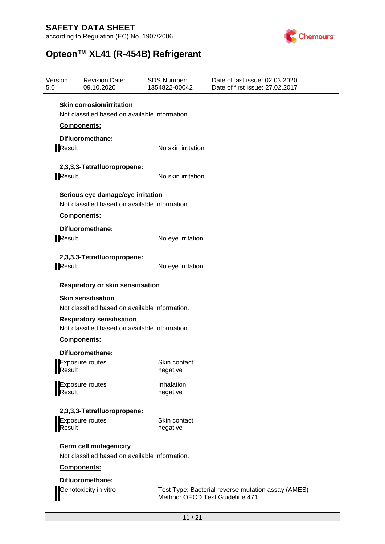according to Regulation (EC) No. 1907/2006



# **Opteon™ XL41 (R-454B) Refrigerant**

| Version<br>5.0 | <b>Revision Date:</b><br>09.10.2020                                                 |   | <b>SDS Number:</b><br>1354822-00042 | Date of last issue: 02.03.2020<br>Date of first issue: 27.02.2017 |
|----------------|-------------------------------------------------------------------------------------|---|-------------------------------------|-------------------------------------------------------------------|
|                | <b>Skin corrosion/irritation</b>                                                    |   |                                     |                                                                   |
|                | Not classified based on available information.                                      |   |                                     |                                                                   |
|                | <b>Components:</b>                                                                  |   |                                     |                                                                   |
|                | Difluoromethane:                                                                    |   |                                     |                                                                   |
| <b>IResult</b> |                                                                                     |   | : No skin irritation                |                                                                   |
|                | 2,3,3,3-Tetrafluoropropene:                                                         |   |                                     |                                                                   |
| Result         |                                                                                     | ÷ | No skin irritation                  |                                                                   |
|                | Serious eye damage/eye irritation<br>Not classified based on available information. |   |                                     |                                                                   |
|                | Components:                                                                         |   |                                     |                                                                   |
|                | Difluoromethane:                                                                    |   |                                     |                                                                   |
| Result         |                                                                                     |   | No eye irritation                   |                                                                   |
|                | 2,3,3,3-Tetrafluoropropene:                                                         |   |                                     |                                                                   |
| Result         |                                                                                     |   | No eye irritation                   |                                                                   |
|                | <b>Respiratory or skin sensitisation</b>                                            |   |                                     |                                                                   |
|                | <b>Skin sensitisation</b>                                                           |   |                                     |                                                                   |
|                | Not classified based on available information.                                      |   |                                     |                                                                   |
|                | <b>Respiratory sensitisation</b>                                                    |   |                                     |                                                                   |
|                | Not classified based on available information.                                      |   |                                     |                                                                   |
|                | Components:                                                                         |   |                                     |                                                                   |
|                | Difluoromethane:                                                                    |   |                                     |                                                                   |
| Result         | Exposure routes                                                                     |   | : Skin contact<br>negative          |                                                                   |
|                |                                                                                     |   | Inhalation                          |                                                                   |
| Result         | <b>Exposure routes</b>                                                              |   | negative                            |                                                                   |
|                | 2,3,3,3-Tetrafluoropropene:                                                         |   |                                     |                                                                   |
|                | Exposure routes                                                                     |   | Skin contact                        |                                                                   |
| Result         |                                                                                     |   | negative                            |                                                                   |
|                | <b>Germ cell mutagenicity</b>                                                       |   |                                     |                                                                   |
|                | Not classified based on available information.                                      |   |                                     |                                                                   |
|                | Components:                                                                         |   |                                     |                                                                   |
|                | Difluoromethane:                                                                    |   |                                     |                                                                   |
|                | Genotoxicity in vitro                                                               |   | Method: OECD Test Guideline 471     | : Test Type: Bacterial reverse mutation assay (AMES)              |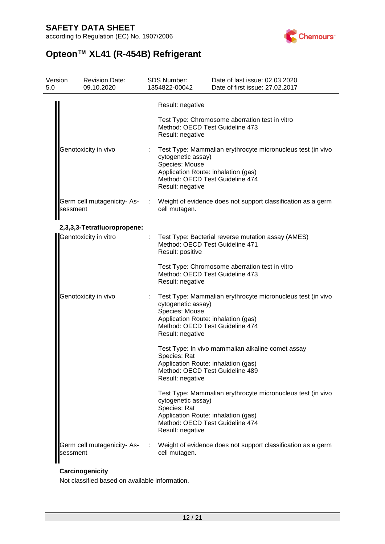according to Regulation (EC) No. 1907/2006



# **Opteon™ XL41 (R-454B) Refrigerant**

| Version<br>5.0 | <b>Revision Date:</b><br>09.10.2020 |   | <b>SDS Number:</b><br>1354822-00042                                                                                                                                                               | Date of last issue: 02.03.2020<br>Date of first issue: 27.02.2017 |  |  |  |
|----------------|-------------------------------------|---|---------------------------------------------------------------------------------------------------------------------------------------------------------------------------------------------------|-------------------------------------------------------------------|--|--|--|
|                |                                     |   | Result: negative                                                                                                                                                                                  |                                                                   |  |  |  |
|                |                                     |   | Method: OECD Test Guideline 473<br>Result: negative                                                                                                                                               | Test Type: Chromosome aberration test in vitro                    |  |  |  |
|                | Genotoxicity in vivo                |   | Test Type: Mammalian erythrocyte micronucleus test (in vivo<br>cytogenetic assay)<br>Species: Mouse<br>Application Route: inhalation (gas)<br>Method: OECD Test Guideline 474<br>Result: negative |                                                                   |  |  |  |
| sessment       | Germ cell mutagenicity- As-         |   | cell mutagen.                                                                                                                                                                                     | : Weight of evidence does not support classification as a germ    |  |  |  |
|                | 2,3,3,3-Tetrafluoropropene:         |   |                                                                                                                                                                                                   |                                                                   |  |  |  |
|                | Genotoxicity in vitro               | ÷ | Method: OECD Test Guideline 471<br>Result: positive                                                                                                                                               | Test Type: Bacterial reverse mutation assay (AMES)                |  |  |  |
|                |                                     |   | Method: OECD Test Guideline 473<br>Result: negative                                                                                                                                               | Test Type: Chromosome aberration test in vitro                    |  |  |  |
|                | Genotoxicity in vivo                |   | cytogenetic assay)<br>Species: Mouse<br>Application Route: inhalation (gas)<br>Method: OECD Test Guideline 474<br>Result: negative                                                                | Test Type: Mammalian erythrocyte micronucleus test (in vivo       |  |  |  |
|                |                                     |   | Species: Rat<br>Application Route: inhalation (gas)<br>Method: OECD Test Guideline 489<br>Result: negative                                                                                        | Test Type: In vivo mammalian alkaline comet assay                 |  |  |  |
|                |                                     |   | cytogenetic assay)<br>Species: Rat<br>Application Route: inhalation (gas)<br>Method: OECD Test Guideline 474<br>Result: negative                                                                  | Test Type: Mammalian erythrocyte micronucleus test (in vivo       |  |  |  |
| sessment       | Germ cell mutagenicity- As-         |   | cell mutagen.                                                                                                                                                                                     | Weight of evidence does not support classification as a germ      |  |  |  |

### **Carcinogenicity**

Not classified based on available information.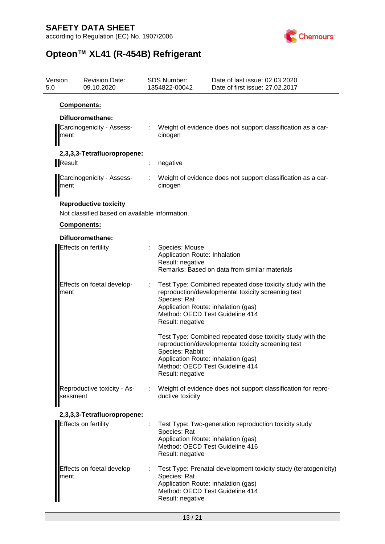according to Regulation (EC) No. 1907/2006



# **Opteon™ XL41 (R-454B) Refrigerant**

| Version<br>5.0 | <b>Revision Date:</b><br>09.10.2020                                            | SDS Number:<br>1354822-00042                                        | Date of last issue: 02.03.2020<br>Date of first issue: 27.02.2017                                                                                                                         |
|----------------|--------------------------------------------------------------------------------|---------------------------------------------------------------------|-------------------------------------------------------------------------------------------------------------------------------------------------------------------------------------------|
|                | Components:                                                                    |                                                                     |                                                                                                                                                                                           |
|                | Difluoromethane:                                                               |                                                                     |                                                                                                                                                                                           |
| ment           | Carcinogenicity - Assess-                                                      | cinogen                                                             | Weight of evidence does not support classification as a car-                                                                                                                              |
|                | 2,3,3,3-Tetrafluoropropene:                                                    |                                                                     |                                                                                                                                                                                           |
| <b>Result</b>  |                                                                                | negative                                                            |                                                                                                                                                                                           |
| ment           | Carcinogenicity - Assess-                                                      | cinogen                                                             | Weight of evidence does not support classification as a car-                                                                                                                              |
|                | <b>Reproductive toxicity</b><br>Not classified based on available information. |                                                                     |                                                                                                                                                                                           |
|                | Components:                                                                    |                                                                     |                                                                                                                                                                                           |
|                | Difluoromethane:                                                               |                                                                     |                                                                                                                                                                                           |
|                | <b>Effects on fertility</b>                                                    | Species: Mouse<br>Application Route: Inhalation<br>Result: negative | Remarks: Based on data from similar materials                                                                                                                                             |
| ment           | Effects on foetal develop-                                                     | Species: Rat<br>Result: negative                                    | Test Type: Combined repeated dose toxicity study with the<br>reproduction/developmental toxicity screening test<br>Application Route: inhalation (gas)<br>Method: OECD Test Guideline 414 |
|                |                                                                                | Species: Rabbit<br>Result: negative                                 | Test Type: Combined repeated dose toxicity study with the<br>reproduction/developmental toxicity screening test<br>Application Route: inhalation (gas)<br>Method: OECD Test Guideline 414 |
| sessment       | Reproductive toxicity - As-                                                    | ductive toxicity                                                    | Weight of evidence does not support classification for repro-                                                                                                                             |
|                | 2,3,3,3-Tetrafluoropropene:                                                    |                                                                     |                                                                                                                                                                                           |
|                | Effects on fertility                                                           | Species: Rat<br>Result: negative                                    | Test Type: Two-generation reproduction toxicity study<br>Application Route: inhalation (gas)<br>Method: OECD Test Guideline 416                                                           |
| ment           | Effects on foetal develop-                                                     | Species: Rat<br>Result: negative                                    | Test Type: Prenatal development toxicity study (teratogenicity)<br>Application Route: inhalation (gas)<br>Method: OECD Test Guideline 414                                                 |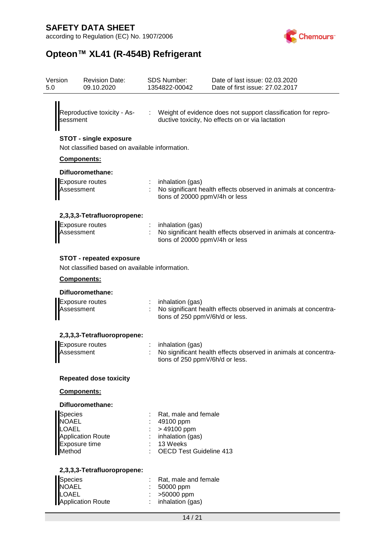according to Regulation (EC) No. 1907/2006



# **Opteon™ XL41 (R-454B) Refrigerant**

| Version<br>5.0                                    | <b>Revision Date:</b><br>09.10.2020                                               | <b>SDS Number:</b><br>1354822-00042                                                                                 | Date of last issue: 02.03.2020<br>Date of first issue: 27.02.2017 |  |
|---------------------------------------------------|-----------------------------------------------------------------------------------|---------------------------------------------------------------------------------------------------------------------|-------------------------------------------------------------------|--|
| Reproductive toxicity - As-<br>sessment           |                                                                                   | : Weight of evidence does not support classification for repro-<br>ductive toxicity, No effects on or via lactation |                                                                   |  |
|                                                   | <b>STOT - single exposure</b><br>Not classified based on available information.   |                                                                                                                     |                                                                   |  |
|                                                   | Components:                                                                       |                                                                                                                     |                                                                   |  |
|                                                   | Difluoromethane:                                                                  |                                                                                                                     |                                                                   |  |
|                                                   | <b>Exposure routes</b><br>Assessment                                              | inhalation (gas)<br>tions of 20000 ppmV/4h or less                                                                  | No significant health effects observed in animals at concentra-   |  |
|                                                   | 2,3,3,3-Tetrafluoropropene:                                                       |                                                                                                                     |                                                                   |  |
|                                                   | <b>Exposure routes</b><br>Assessment                                              | inhalation (gas)<br>tions of 20000 ppmV/4h or less                                                                  | No significant health effects observed in animals at concentra-   |  |
|                                                   | <b>STOT - repeated exposure</b><br>Not classified based on available information. |                                                                                                                     |                                                                   |  |
|                                                   | Components:                                                                       |                                                                                                                     |                                                                   |  |
|                                                   | Difluoromethane:                                                                  |                                                                                                                     |                                                                   |  |
|                                                   | <b>Exposure routes</b><br>Assessment                                              | inhalation (gas)<br>tions of 250 ppmV/6h/d or less.                                                                 | No significant health effects observed in animals at concentra-   |  |
|                                                   | 2,3,3,3-Tetrafluoropropene:                                                       |                                                                                                                     |                                                                   |  |
|                                                   | <b>Exposure routes</b><br>Assessment                                              | inhalation (gas)<br>tions of 250 ppmV/6h/d or less.                                                                 | No significant health effects observed in animals at concentra-   |  |
|                                                   | <b>Repeated dose toxicity</b>                                                     |                                                                                                                     |                                                                   |  |
|                                                   | Components:                                                                       |                                                                                                                     |                                                                   |  |
|                                                   | Difluoromethane:                                                                  |                                                                                                                     |                                                                   |  |
| <b>Species</b><br><b>NOAEL</b><br>OAEL.<br>Method | Application Route<br>Exposure time                                                | Rat, male and female<br>49100 ppm<br>> 49100 ppm<br>inhalation (gas)<br>13 Weeks<br><b>OECD Test Guideline 413</b>  |                                                                   |  |
|                                                   | 2,3,3,3-Tetrafluoropropene:                                                       |                                                                                                                     |                                                                   |  |
| Species<br><b>JOAEL</b><br>ጋAEL                   | <b>Application Route</b>                                                          | Rat, male and female<br>50000 ppm<br>>50000 ppm<br>inhalation (gas)                                                 |                                                                   |  |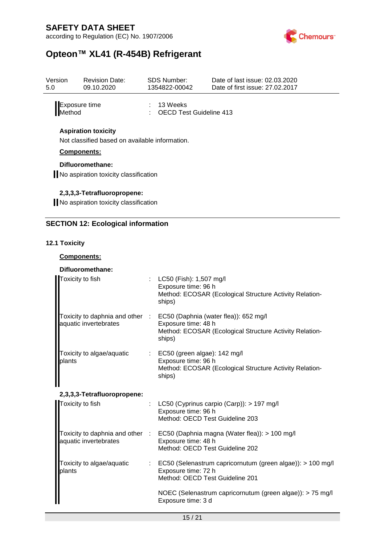according to Regulation (EC) No. 1907/2006



# **Opteon™ XL41 (R-454B) Refrigerant**

| Version<br>5.0                 | <b>Revision Date:</b><br>09.10.2020                                          | SDS Number:<br>1354822-00042                   | Date of last issue: 02.03.2020<br>Date of first issue: 27,02,2017 |
|--------------------------------|------------------------------------------------------------------------------|------------------------------------------------|-------------------------------------------------------------------|
| Exposure time<br><b>Method</b> |                                                                              | $: 13$ Weeks<br><b>OECD Test Guideline 413</b> |                                                                   |
|                                | <b>Aspiration toxicity</b><br>Not classified based on available information. |                                                |                                                                   |
| <b>Components:</b>             |                                                                              |                                                |                                                                   |
|                                | Difluoromethane:<br>No aspiration toxicity classification                    |                                                |                                                                   |
|                                | 2,3,3,3-Tetrafluoropropene:                                                  |                                                |                                                                   |
|                                | No aspiration toxicity classification                                        |                                                |                                                                   |
|                                | <b>SECTION 12: Ecological information</b>                                    |                                                |                                                                   |

#### **12.1 Toxicity**

#### **Components:**

### **Difluoromethane:**

| Toxicity to fish                    | : $LC50$ (Fish): 1,507 mg/l<br>Exposure time: 96 h<br>Method: ECOSAR (Ecological Structure Activity Relation-<br>ships)                                           |
|-------------------------------------|-------------------------------------------------------------------------------------------------------------------------------------------------------------------|
| aquatic invertebrates               | Toxicity to daphnia and other : EC50 (Daphnia (water flea)): 652 mg/l<br>Exposure time: 48 h<br>Method: ECOSAR (Ecological Structure Activity Relation-<br>ships) |
| Toxicity to algae/aquatic<br>plants | $\therefore$ EC50 (green algae): 142 mg/l<br>Exposure time: 96 h<br>Method: ECOSAR (Ecological Structure Activity Relation-<br>ships)                             |
| 2,3,3,3-Tetrafluoropropene:         |                                                                                                                                                                   |
| Toxicity to fish                    | : LC50 (Cyprinus carpio (Carp)): $> 197$ mg/l<br>Exposure time: 96 h<br>Method: OECD Test Guideline 203                                                           |
| aquatic invertebrates               | Toxicity to daphnia and other : EC50 (Daphnia magna (Water flea)): > 100 mg/l<br>Exposure time: 48 h<br>Method: OECD Test Guideline 202                           |
| Toxicity to algae/aquatic<br>plants | : EC50 (Selenastrum capricornutum (green algae)): > 100 mg/l<br>Exposure time: 72 h<br>Method: OECD Test Guideline 201                                            |
|                                     | NOEC (Selenastrum capricornutum (green algae)): > 75 mg/l<br>Exposure time: 3 d                                                                                   |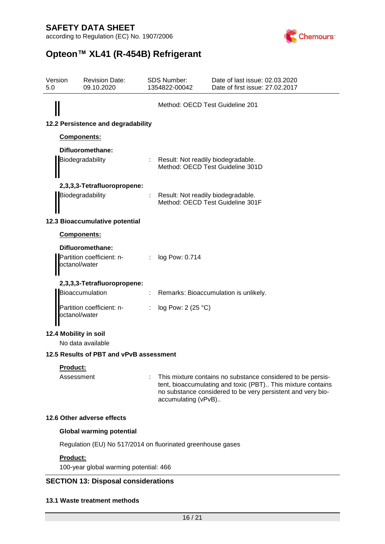according to Regulation (EC) No. 1907/2006



# **Opteon™ XL41 (R-454B) Refrigerant**

| Version<br>5.0 | <b>Revision Date:</b><br>09.10.2020                            |  | <b>SDS Number:</b><br>1354822-00042  | Date of last issue: 02.03.2020<br>Date of first issue: 27.02.2017                                                                                                                         |  |
|----------------|----------------------------------------------------------------|--|--------------------------------------|-------------------------------------------------------------------------------------------------------------------------------------------------------------------------------------------|--|
|                |                                                                |  | Method: OECD Test Guideline 201      |                                                                                                                                                                                           |  |
|                | 12.2 Persistence and degradability                             |  |                                      |                                                                                                                                                                                           |  |
|                | Components:                                                    |  |                                      |                                                                                                                                                                                           |  |
|                | Difluoromethane:<br>Biodegradability                           |  | : Result: Not readily biodegradable. | Method: OECD Test Guideline 301D                                                                                                                                                          |  |
|                | 2,3,3,3-Tetrafluoropropene:<br>Biodegradability                |  | Result: Not readily biodegradable.   | Method: OECD Test Guideline 301F                                                                                                                                                          |  |
|                | 12.3 Bioaccumulative potential                                 |  |                                      |                                                                                                                                                                                           |  |
|                | Components:                                                    |  |                                      |                                                                                                                                                                                           |  |
|                | Difluoromethane:<br>Partition coefficient: n-<br>octanol/water |  | $:$ log Pow: 0.714                   |                                                                                                                                                                                           |  |
|                | 2,3,3,3-Tetrafluoropropene:<br>Bioaccumulation                 |  |                                      | Remarks: Bioaccumulation is unlikely.                                                                                                                                                     |  |
|                | Partition coefficient: n-<br>octanol/water                     |  | log Pow: 2 (25 °C)                   |                                                                                                                                                                                           |  |
|                | 12.4 Mobility in soil<br>No data available                     |  |                                      |                                                                                                                                                                                           |  |
|                | 12.5 Results of PBT and vPvB assessment                        |  |                                      |                                                                                                                                                                                           |  |
|                | <b>Product:</b>                                                |  |                                      |                                                                                                                                                                                           |  |
|                | Assessment                                                     |  | accumulating (vPvB)                  | This mixture contains no substance considered to be persis-<br>tent, bioaccumulating and toxic (PBT) This mixture contains<br>no substance considered to be very persistent and very bio- |  |
|                | 12.6 Other adverse effects                                     |  |                                      |                                                                                                                                                                                           |  |
|                | <b>Global warming potential</b>                                |  |                                      |                                                                                                                                                                                           |  |
|                | Regulation (EU) No 517/2014 on fluorinated greenhouse gases    |  |                                      |                                                                                                                                                                                           |  |
|                | <b>Product:</b><br>100-year global warming potential: 466      |  |                                      |                                                                                                                                                                                           |  |
|                | <b>SECTION 13: Disposal considerations</b>                     |  |                                      |                                                                                                                                                                                           |  |

#### **13.1 Waste treatment methods**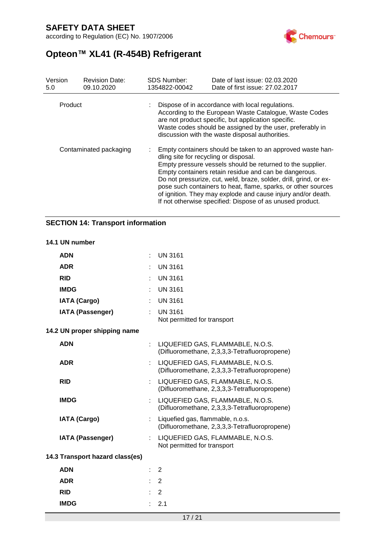according to Regulation (EC) No. 1907/2006



# **Opteon™ XL41 (R-454B) Refrigerant**

| Version<br>5.0         | <b>Revision Date:</b><br>09.10.2020 | <b>SDS Number:</b><br>1354822-00042   | Date of last issue: 02.03.2020<br>Date of first issue: 27,02,2017                                                                                                                                                                                                                                                                                                                                                                                    |
|------------------------|-------------------------------------|---------------------------------------|------------------------------------------------------------------------------------------------------------------------------------------------------------------------------------------------------------------------------------------------------------------------------------------------------------------------------------------------------------------------------------------------------------------------------------------------------|
| Product                |                                     |                                       | Dispose of in accordance with local regulations.<br>According to the European Waste Catalogue, Waste Codes<br>are not product specific, but application specific.<br>Waste codes should be assigned by the user, preferably in<br>discussion with the waste disposal authorities.                                                                                                                                                                    |
| Contaminated packaging |                                     | dling site for recycling or disposal. | Empty containers should be taken to an approved waste han-<br>Empty pressure vessels should be returned to the supplier.<br>Empty containers retain residue and can be dangerous.<br>Do not pressurize, cut, weld, braze, solder, drill, grind, or ex-<br>pose such containers to heat, flame, sparks, or other sources<br>of ignition. They may explode and cause injury and/or death.<br>If not otherwise specified: Dispose of as unused product. |

### **SECTION 14: Transport information**

#### **14.1 UN number**

| <b>ADN</b>                      |                             | <b>UN 3161</b>                                                                    |
|---------------------------------|-----------------------------|-----------------------------------------------------------------------------------|
| <b>ADR</b>                      |                             | <b>UN 3161</b>                                                                    |
| <b>RID</b>                      |                             | <b>UN 3161</b>                                                                    |
| <b>IMDG</b>                     |                             | <b>UN 3161</b>                                                                    |
| <b>IATA (Cargo)</b>             |                             | <b>UN 3161</b>                                                                    |
| <b>IATA (Passenger)</b>         |                             | <b>UN 3161</b><br>Not permitted for transport                                     |
| 14.2 UN proper shipping name    |                             |                                                                                   |
| <b>ADN</b>                      | ÷.                          | LIQUEFIED GAS, FLAMMABLE, N.O.S.<br>(Difluoromethane, 2,3,3,3-Tetrafluoropropene) |
| <b>ADR</b>                      |                             | LIQUEFIED GAS, FLAMMABLE, N.O.S.<br>(Difluoromethane, 2,3,3,3-Tetrafluoropropene) |
| <b>RID</b>                      | ÷.                          | LIQUEFIED GAS, FLAMMABLE, N.O.S.<br>(Difluoromethane, 2,3,3,3-Tetrafluoropropene) |
| <b>IMDG</b>                     |                             | LIQUEFIED GAS, FLAMMABLE, N.O.S.<br>(Difluoromethane, 2,3,3,3-Tetrafluoropropene) |
| <b>IATA (Cargo)</b>             |                             | Liquefied gas, flammable, n.o.s.<br>(Difluoromethane, 2,3,3,3-Tetrafluoropropene) |
| <b>IATA (Passenger)</b>         | ÷.                          | LIQUEFIED GAS, FLAMMABLE, N.O.S.<br>Not permitted for transport                   |
| 14.3 Transport hazard class(es) |                             |                                                                                   |
| <b>ADN</b>                      | $\mathbf{r}_{\mathrm{max}}$ | $\mathbf{2}$                                                                      |
| <b>ADR</b>                      |                             | 2                                                                                 |
| <b>RID</b>                      |                             | $\overline{2}$                                                                    |
| <b>IMDG</b>                     | ÷.                          | 2.1                                                                               |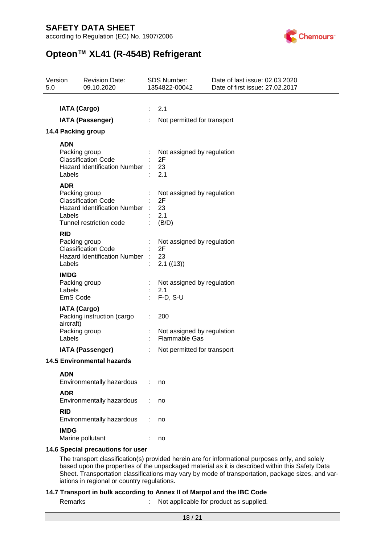according to Regulation (EC) No. 1907/2006



# **Opteon™ XL41 (R-454B) Refrigerant**

| 5.0 | Version                                                                                                                                                                                                                                                                                                 | <b>Revision Date:</b><br>09.10.2020                                                                      | SDS Number:<br>1354822-00042 |                                                        | Date of last issue: 02.03.2020<br>Date of first issue: 27.02.2017 |
|-----|---------------------------------------------------------------------------------------------------------------------------------------------------------------------------------------------------------------------------------------------------------------------------------------------------------|----------------------------------------------------------------------------------------------------------|------------------------------|--------------------------------------------------------|-------------------------------------------------------------------|
|     |                                                                                                                                                                                                                                                                                                         |                                                                                                          |                              |                                                        |                                                                   |
|     | <b>IATA (Cargo)</b>                                                                                                                                                                                                                                                                                     |                                                                                                          | $\mathcal{L}^{\mathcal{L}}$  | 2.1                                                    |                                                                   |
|     |                                                                                                                                                                                                                                                                                                         | <b>IATA (Passenger)</b>                                                                                  |                              | Not permitted for transport                            |                                                                   |
|     |                                                                                                                                                                                                                                                                                                         | 14.4 Packing group                                                                                       |                              |                                                        |                                                                   |
|     | <b>ADN</b>                                                                                                                                                                                                                                                                                              |                                                                                                          |                              |                                                        |                                                                   |
|     | Labels                                                                                                                                                                                                                                                                                                  | Packing group<br><b>Classification Code</b><br>Hazard Identification Number                              |                              | Not assigned by regulation<br>2F<br>23<br>2.1          |                                                                   |
|     | <b>ADR</b><br>Labels                                                                                                                                                                                                                                                                                    | Packing group<br><b>Classification Code</b><br>Hazard Identification Number :<br>Tunnel restriction code |                              | Not assigned by regulation<br>2F<br>23<br>2.1<br>(B/D) |                                                                   |
|     | <b>RID</b><br>Labels                                                                                                                                                                                                                                                                                    | Packing group<br><b>Classification Code</b><br>Hazard Identification Number :                            |                              | Not assigned by regulation<br>2F<br>23<br>2.1 ((13))   |                                                                   |
|     | <b>IMDG</b><br>Labels<br>EmS Code                                                                                                                                                                                                                                                                       | Packing group                                                                                            |                              | Not assigned by regulation<br>2.1<br>$F-D, S-U$        |                                                                   |
|     | <b>IATA (Cargo)</b><br>aircraft)                                                                                                                                                                                                                                                                        | Packing instruction (cargo<br>Packing group                                                              |                              | 200<br>Not assigned by regulation                      |                                                                   |
|     | Labels                                                                                                                                                                                                                                                                                                  |                                                                                                          |                              | <b>Flammable Gas</b>                                   |                                                                   |
|     |                                                                                                                                                                                                                                                                                                         | <b>IATA (Passenger)</b>                                                                                  |                              | Not permitted for transport                            |                                                                   |
|     |                                                                                                                                                                                                                                                                                                         | <b>14.5 Environmental hazards</b>                                                                        |                              |                                                        |                                                                   |
|     | <b>ADN</b>                                                                                                                                                                                                                                                                                              | Environmentally hazardous                                                                                |                              | no                                                     |                                                                   |
|     | <b>ADR</b>                                                                                                                                                                                                                                                                                              | Environmentally hazardous                                                                                |                              | no                                                     |                                                                   |
|     | <b>RID</b>                                                                                                                                                                                                                                                                                              | Environmentally hazardous                                                                                |                              | no                                                     |                                                                   |
|     | <b>IMDG</b>                                                                                                                                                                                                                                                                                             | Marine pollutant                                                                                         |                              | no                                                     |                                                                   |
|     |                                                                                                                                                                                                                                                                                                         | 14.6 Special precautions for user                                                                        |                              |                                                        |                                                                   |
|     | The transport classification(s) provided herein are for informational purposes only, and solely<br>based upon the properties of the unpackaged material as it is described within this Safety Data<br>Sheet. Transportation classifications may vary by mode of transportation, package sizes, and var- |                                                                                                          |                              |                                                        |                                                                   |

iations in regional or country regulations.

#### **14.7 Transport in bulk according to Annex II of Marpol and the IBC Code**

Remarks : Not applicable for product as supplied.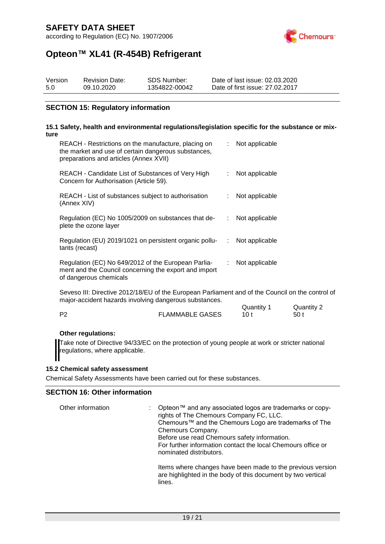according to Regulation (EC) No. 1907/2006



# **Opteon™ XL41 (R-454B) Refrigerant**

| Version | <b>Revision Date:</b> | SDS Number:   | Date of last issue: 02.03.2020  |
|---------|-----------------------|---------------|---------------------------------|
| 5.0     | 09.10.2020            | 1354822-00042 | Date of first issue: 27.02.2017 |

#### **SECTION 15: Regulatory information**

#### **15.1 Safety, health and environmental regulations/legislation specific for the substance or mixture**

| REACH - Restrictions on the manufacture, placing on<br>the market and use of certain dangerous substances,<br>preparations and articles (Annex XVII) |    | Not applicable |
|------------------------------------------------------------------------------------------------------------------------------------------------------|----|----------------|
| REACH - Candidate List of Substances of Very High<br>Concern for Authorisation (Article 59).                                                         |    | Not applicable |
| REACH - List of substances subject to authorisation<br>(Annex XIV)                                                                                   |    | Not applicable |
| Regulation (EC) No 1005/2009 on substances that de-<br>plete the ozone layer                                                                         | ÷. | Not applicable |
| Regulation (EU) 2019/1021 on persistent organic pollu-<br>tants (recast)                                                                             | ÷. | Not applicable |
| Regulation (EC) No 649/2012 of the European Parlia-<br>ment and the Council concerning the export and import<br>of dangerous chemicals               | ÷  | Not applicable |

Seveso III: Directive 2012/18/EU of the European Parliament and of the Council on the control of major-accident hazards involving dangerous substances.

|                        | Quantity | Quantity 2      |
|------------------------|----------|-----------------|
| <b>FLAMMABLE GASES</b> | 10 t     | 50 <sub>1</sub> |

#### **Other regulations:**

Take note of Directive 94/33/EC on the protection of young people at work or stricter national regulations, where applicable.

#### **15.2 Chemical safety assessment**

Chemical Safety Assessments have been carried out for these substances.

#### **SECTION 16: Other information**

| Other information | Opteon™ and any associated logos are trademarks or copy-<br>rights of The Chemours Company FC, LLC.<br>Chemours™ and the Chemours Logo are trademarks of The<br>Chemours Company.<br>Before use read Chemours safety information.<br>For further information contact the local Chemours office or<br>nominated distributors. |
|-------------------|------------------------------------------------------------------------------------------------------------------------------------------------------------------------------------------------------------------------------------------------------------------------------------------------------------------------------|
|                   | Items where changes have been made to the previous version<br>are highlighted in the body of this document by two vertical<br>lines.                                                                                                                                                                                         |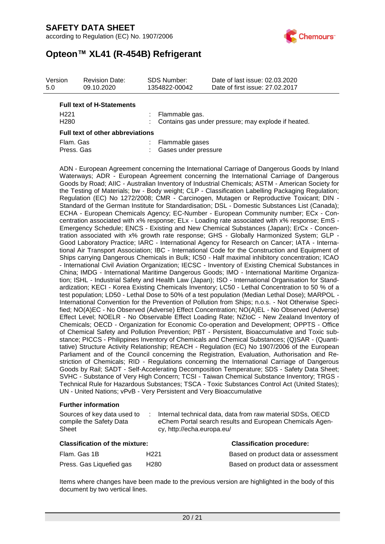according to Regulation (EC) No. 1907/2006



## **Opteon™ XL41 (R-454B) Refrigerant**

| Version<br>5.0   | <b>Revision Date:</b><br>09.10.2020 | <b>SDS Number:</b><br>1354822-00042 | Date of last issue: 02.03.2020<br>Date of first issue: 27.02.2017 |
|------------------|-------------------------------------|-------------------------------------|-------------------------------------------------------------------|
|                  | <b>Full text of H-Statements</b>    |                                     |                                                                   |
| H <sub>221</sub> |                                     | : Flammable gas.                    |                                                                   |
| H <sub>280</sub> |                                     |                                     | : Contains gas under pressure; may explode if heated.             |

| Full text of other abbreviations |  |                        |  |  |  |
|----------------------------------|--|------------------------|--|--|--|
| Flam. Gas                        |  | : Flammable gases      |  |  |  |
| Press, Gas                       |  | : Gases under pressure |  |  |  |

ADN - European Agreement concerning the International Carriage of Dangerous Goods by Inland Waterways; ADR - European Agreement concerning the International Carriage of Dangerous Goods by Road; AIIC - Australian Inventory of Industrial Chemicals; ASTM - American Society for the Testing of Materials; bw - Body weight; CLP - Classification Labelling Packaging Regulation; Regulation (EC) No 1272/2008; CMR - Carcinogen, Mutagen or Reproductive Toxicant; DIN - Standard of the German Institute for Standardisation; DSL - Domestic Substances List (Canada); ECHA - European Chemicals Agency; EC-Number - European Community number; ECx - Concentration associated with x% response; ELx - Loading rate associated with x% response; EmS - Emergency Schedule; ENCS - Existing and New Chemical Substances (Japan); ErCx - Concentration associated with x% growth rate response; GHS - Globally Harmonized System; GLP - Good Laboratory Practice; IARC - International Agency for Research on Cancer; IATA - International Air Transport Association; IBC - International Code for the Construction and Equipment of Ships carrying Dangerous Chemicals in Bulk; IC50 - Half maximal inhibitory concentration; ICAO - International Civil Aviation Organization; IECSC - Inventory of Existing Chemical Substances in China; IMDG - International Maritime Dangerous Goods; IMO - International Maritime Organization; ISHL - Industrial Safety and Health Law (Japan); ISO - International Organisation for Standardization; KECI - Korea Existing Chemicals Inventory; LC50 - Lethal Concentration to 50 % of a test population; LD50 - Lethal Dose to 50% of a test population (Median Lethal Dose); MARPOL - International Convention for the Prevention of Pollution from Ships; n.o.s. - Not Otherwise Specified; NO(A)EC - No Observed (Adverse) Effect Concentration; NO(A)EL - No Observed (Adverse) Effect Level; NOELR - No Observable Effect Loading Rate; NZIoC - New Zealand Inventory of Chemicals; OECD - Organization for Economic Co-operation and Development; OPPTS - Office of Chemical Safety and Pollution Prevention; PBT - Persistent, Bioaccumulative and Toxic substance; PICCS - Philippines Inventory of Chemicals and Chemical Substances; (Q)SAR - (Quantitative) Structure Activity Relationship; REACH - Regulation (EC) No 1907/2006 of the European Parliament and of the Council concerning the Registration, Evaluation, Authorisation and Restriction of Chemicals; RID - Regulations concerning the International Carriage of Dangerous Goods by Rail; SADT - Self-Accelerating Decomposition Temperature; SDS - Safety Data Sheet; SVHC - Substance of Very High Concern; TCSI - Taiwan Chemical Substance Inventory; TRGS - Technical Rule for Hazardous Substances; TSCA - Toxic Substances Control Act (United States); UN - United Nations; vPvB - Very Persistent and Very Bioaccumulative

#### **Further information**

| Sources of key data used to | Internal technical data, data from raw material SDSs, OECD |
|-----------------------------|------------------------------------------------------------|
| compile the Safety Data     | eChem Portal search results and European Chemicals Agen-   |
| Sheet                       | cy, http://echa.europa.eu/                                 |

| <b>Classification of the mixture:</b> | <b>Classification procedure:</b> |                                     |
|---------------------------------------|----------------------------------|-------------------------------------|
| Flam. Gas 1B                          | H221                             | Based on product data or assessment |
| Press. Gas Liquefied gas              | H280                             | Based on product data or assessment |

Items where changes have been made to the previous version are highlighted in the body of this document by two vertical lines.